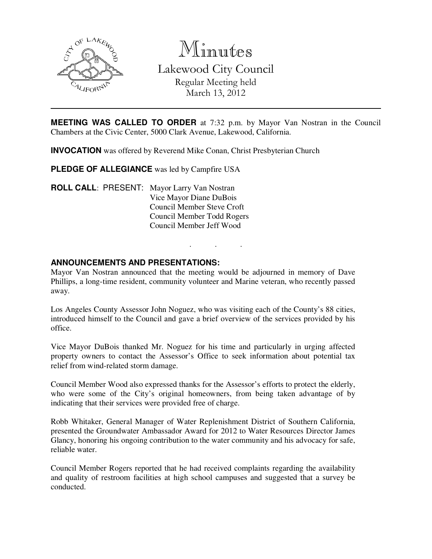

Minutes Lakewood City Council

> Regular Meeting held March 13, 2012

**MEETING WAS CALLED TO ORDER** at 7:32 p.m. by Mayor Van Nostran in the Council Chambers at the Civic Center, 5000 Clark Avenue, Lakewood, California.

**INVOCATION** was offered by Reverend Mike Conan, Christ Presbyterian Church

**PLEDGE OF ALLEGIANCE** was led by Campfire USA

**ROLL CALL**: PRESENT: Mayor Larry Van Nostran Vice Mayor Diane DuBois Council Member Steve Croft Council Member Todd Rogers Council Member Jeff Wood

## **ANNOUNCEMENTS AND PRESENTATIONS:**

Mayor Van Nostran announced that the meeting would be adjourned in memory of Dave Phillips, a long-time resident, community volunteer and Marine veteran, who recently passed away.

. . .

Los Angeles County Assessor John Noguez, who was visiting each of the County's 88 cities, introduced himself to the Council and gave a brief overview of the services provided by his office.

Vice Mayor DuBois thanked Mr. Noguez for his time and particularly in urging affected property owners to contact the Assessor's Office to seek information about potential tax relief from wind-related storm damage.

Council Member Wood also expressed thanks for the Assessor's efforts to protect the elderly, who were some of the City's original homeowners, from being taken advantage of by indicating that their services were provided free of charge.

Robb Whitaker, General Manager of Water Replenishment District of Southern California, presented the Groundwater Ambassador Award for 2012 to Water Resources Director James Glancy, honoring his ongoing contribution to the water community and his advocacy for safe, reliable water.

Council Member Rogers reported that he had received complaints regarding the availability and quality of restroom facilities at high school campuses and suggested that a survey be conducted.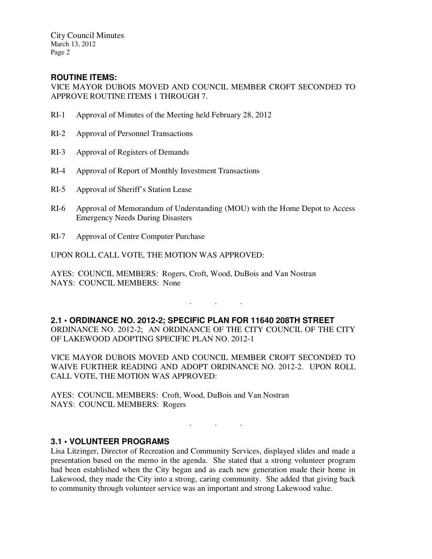City Council Minutes March 13, 2012 Page 2

# **ROUTINE ITEMS:**

VICE MAYOR DUBOIS MOVED AND COUNCIL MEMBER CROFT SECONDED TO APPROVE ROUTINE ITEMS 1 THROUGH 7.

- RI-1 Approval of Minutes of the Meeting held February 28, 2012
- RI-2 Approval of Personnel Transactions
- RI-3 Approval of Registers of Demands
- RI-4 Approval of Report of Monthly Investment Transactions
- RI-5 Approval of Sheriff's Station Lease
- RI-6 Approval of Memorandum of Understanding (MOU) with the Home Depot to Access Emergency Needs During Disasters
- RI-7 Approval of Centre Computer Purchase

UPON ROLL CALL VOTE, THE MOTION WAS APPROVED:

AYES: COUNCIL MEMBERS: Rogers, Croft, Wood, DuBois and Van Nostran NAYS: COUNCIL MEMBERS: None

**2.1 • ORDINANCE NO. 2012-2; SPECIFIC PLAN FOR 11640 208TH STREET**  ORDINANCE NO. 2012-2; AN ORDINANCE OF THE CITY COUNCIL OF THE CITY OF LAKEWOOD ADOPTING SPECIFIC PLAN NO. 2012-1

 $\mathbf{r}$  .  $\mathbf{r}$  ,  $\mathbf{r}$  ,  $\mathbf{r}$  ,  $\mathbf{r}$  ,  $\mathbf{r}$  ,  $\mathbf{r}$ 

VICE MAYOR DUBOIS MOVED AND COUNCIL MEMBER CROFT SECONDED TO WAIVE FURTHER READING AND ADOPT ORDINANCE NO. 2012-2. UPON ROLL CALL VOTE, THE MOTION WAS APPROVED:

AYES: COUNCIL MEMBERS: Croft, Wood, DuBois and Van Nostran NAYS: COUNCIL MEMBERS: Rogers

## **3.1 • VOLUNTEER PROGRAMS**

Lisa Litzinger, Director of Recreation and Community Services, displayed slides and made a presentation based on the memo in the agenda. She stated that a strong volunteer program had been established when the City began and as each new generation made their home in Lakewood, they made the City into a strong, caring community. She added that giving back to community through volunteer service was an important and strong Lakewood value.

. . .